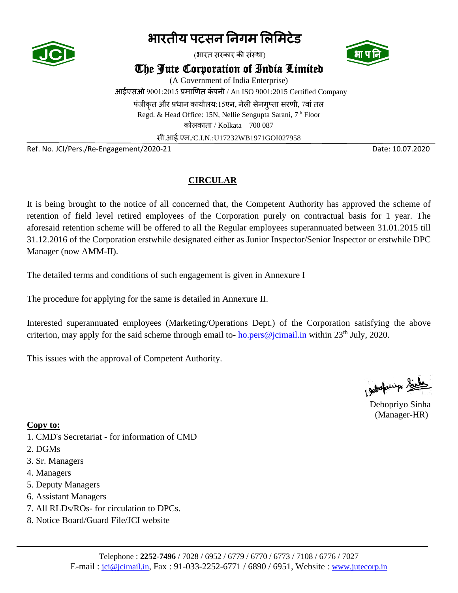

(भारत सरकार की संस्था)



The Jute Corporation of India Limited

(A Government of India Enterprise) आईएसओ 9001:2015 प्रमाणित कंपनी / An ISO 9001:2015 Certified Company पंजीकृत और प्रधान कार्यालय:15एन, नेली सेनगप्ता सरणी, 7वां तल Regd. & Head Office: 15N, Nellie Sengupta Sarani, 7<sup>th</sup> Floor

कोलकाता / Kolkata – 700 087

सी.आई.एन./C.I.N.:U17232WB1971GOI027958

Ref. No. JCI/Pers./Re-Engagement/2020-21 Date: 10.07.2020

#### **CIRCULAR**

It is being brought to the notice of all concerned that, the Competent Authority has approved the scheme of retention of field level retired employees of the Corporation purely on contractual basis for 1 year. The aforesaid retention scheme will be offered to all the Regular employees superannuated between 31.01.2015 till 31.12.2016 of the Corporation erstwhile designated either as Junior Inspector/Senior Inspector or erstwhile DPC Manager (now AMM-II).

The detailed terms and conditions of such engagement is given in Annexure I

The procedure for applying for the same is detailed in Annexure II.

Interested superannuated employees (Marketing/Operations Dept.) of the Corporation satisfying the above criterion, may apply for the said scheme through email to- $\underline{ho}$ . pers@jcimail.in within 23<sup>th</sup> July, 2020.

This issues with the approval of Competent Authority.

Chickenip Sints

Debopriyo Sinha (Manager-HR)

**Copy to:**

- 1. CMD's Secretariat for information of CMD
- 2. DGMs
- 3. Sr. Managers
- 4. Managers
- 5. Deputy Managers
- 6. Assistant Managers
- 7. All RLDs/ROs- for circulation to DPCs.
- 8. Notice Board/Guard File/JCI website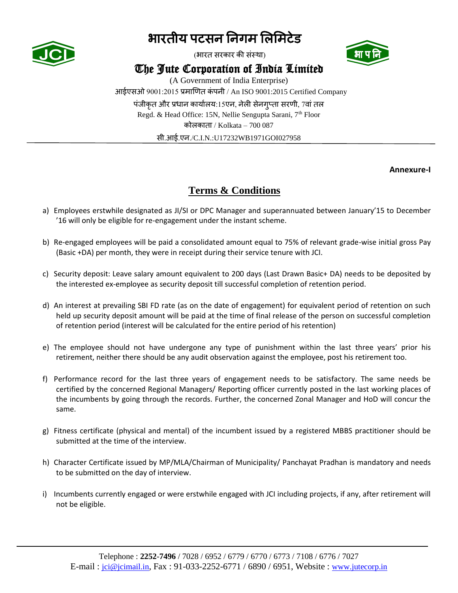

(भारत सरकार की संस्था)



### The Jute Corporation of India Limited

(A Government of India Enterprise) आईएसओ 9001:2015 प्रमाणित कं पनी / An ISO 9001:2015 Certified Company पंजीकत और प्रधान कार्यालय:15एन, नेली सेनगप्ता सरणी, 7वां तल Regd. & Head Office: 15N, Nellie Sengupta Sarani, 7<sup>th</sup> Floor कोलकाता / Kolkata –  $700087$ सी.आई.एन./C.I.N.:U17232WB1971GOI027958

 **Annexure-I**

### **Terms & Conditions**

- a) Employees erstwhile designated as JI/SI or DPC Manager and superannuated between January'15 to December '16 will only be eligible for re-engagement under the instant scheme.
- b) Re-engaged employees will be paid a consolidated amount equal to 75% of relevant grade-wise initial gross Pay (Basic +DA) per month, they were in receipt during their service tenure with JCI.
- c) Security deposit: Leave salary amount equivalent to 200 days (Last Drawn Basic+ DA) needs to be deposited by the interested ex-employee as security deposit till successful completion of retention period.
- d) An interest at prevailing SBI FD rate (as on the date of engagement) for equivalent period of retention on such held up security deposit amount will be paid at the time of final release of the person on successful completion of retention period (interest will be calculated for the entire period of his retention)
- e) The employee should not have undergone any type of punishment within the last three years' prior his retirement, neither there should be any audit observation against the employee, post his retirement too.
- f) Performance record for the last three years of engagement needs to be satisfactory. The same needs be certified by the concerned Regional Managers/ Reporting officer currently posted in the last working places of the incumbents by going through the records. Further, the concerned Zonal Manager and HoD will concur the same.
- g) Fitness certificate (physical and mental) of the incumbent issued by a registered MBBS practitioner should be submitted at the time of the interview.
- h) Character Certificate issued by MP/MLA/Chairman of Municipality/ Panchayat Pradhan is mandatory and needs to be submitted on the day of interview.
- i) Incumbents currently engaged or were erstwhile engaged with JCI including projects, if any, after retirement will not be eligible.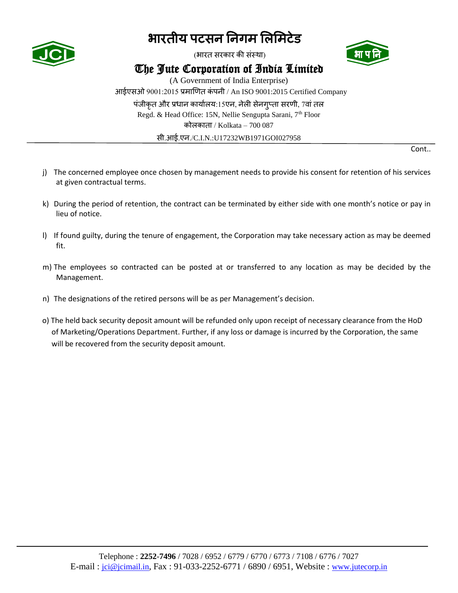

(भारत सरकार की संस्था)



### The Jute Corporation of India Limited

(A Government of India Enterprise) आईएसओ 9001:2015 प्रमाणित कं पनी / An ISO 9001:2015 Certified Company पंजीकत और प्रधान कार्यालय:15एन, नेली सेनगप्ता सरणी, 7वां तल Regd. & Head Office: 15N, Nellie Sengupta Sarani, 7<sup>th</sup> Floor कोलकाता / Kolkata – 700 087 सी.आई.एन./C.I.N.:U17232WB1971GOI027958

Cont..

- j) The concerned employee once chosen by management needs to provide his consent for retention of his services at given contractual terms.
- k) During the period of retention, the contract can be terminated by either side with one month's notice or pay in lieu of notice.
- l) If found guilty, during the tenure of engagement, the Corporation may take necessary action as may be deemed fit.
- m) The employees so contracted can be posted at or transferred to any location as may be decided by the Management.
- n) The designations of the retired persons will be as per Management's decision.
- o) The held back security deposit amount will be refunded only upon receipt of necessary clearance from the HoD of Marketing/Operations Department. Further, if any loss or damage is incurred by the Corporation, the same will be recovered from the security deposit amount.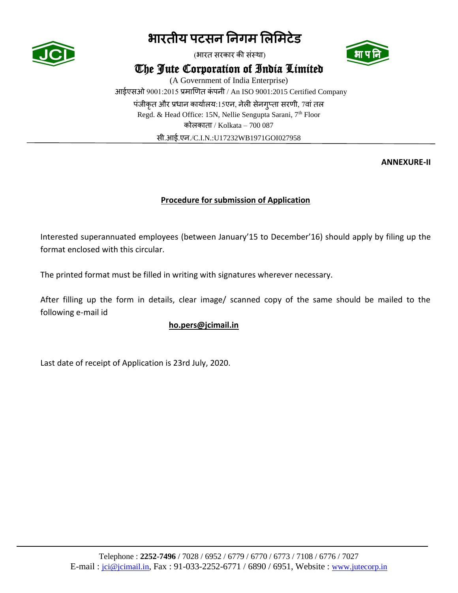

(भारत सरकार की संस्था)



The Jute Corporation of India Limited

(A Government of India Enterprise) आईएसओ 9001:2015 प्रमाणित कंपनी / An ISO 9001:2015 Certified Company पंजीकृत और प्रधान कार्यालय:15एन, नेली सेनगृप्ता सरणी, 7वां तल Regd. & Head Office: 15N, Nellie Sengupta Sarani, 7<sup>th</sup> Floor कोलकाता / Kolkata – 700 087 सी.आई.एन./C.I.N.:U17232WB1971GOI027958

**ANNEXURE-II**

#### **Procedure for submission of Application**

Interested superannuated employees (between January'15 to December'16) should apply by filing up the format enclosed with this circular.

The printed format must be filled in writing with signatures wherever necessary.

After filling up the form in details, clear image/ scanned copy of the same should be mailed to the following e-mail id

#### **ho.pers@jcimail.in**

Last date of receipt of Application is 23rd July, 2020.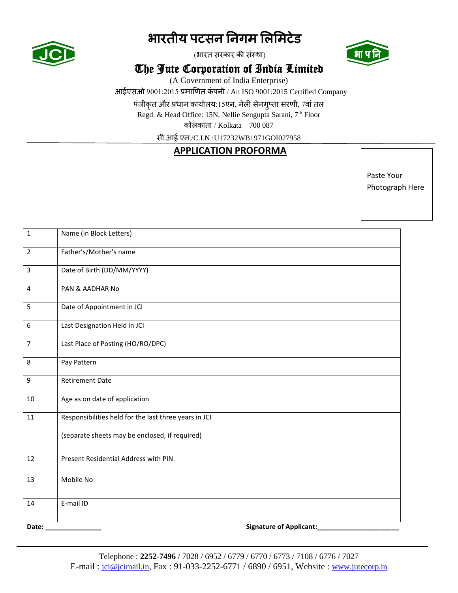

(भारत सरकार की संस्था)



### The Jute Corporation of India Limited

(A Government of India Enterprise)

आईएसओ 9001:2015 प्रमाणित कं पनी / An ISO 9001:2015 Certified Company

पंजीकृत और प्रधान कार्यालय:15एन, नेली सेनगुप्ता सरणी, 7वां तल

Regd. & Head Office: 15N, Nellie Sengupta Sarani, 7<sup>th</sup> Floor

कोिकाता / Kolkata – 700 087

सी.आई.एन./C.I.N.:U17232WB1971GOI027958

#### **APPLICATION PROFORMA**

Paste Your Photograph Here

| $\mathbf 1$      | Name (in Block Letters)                               |                                |
|------------------|-------------------------------------------------------|--------------------------------|
| $\overline{2}$   | Father's/Mother's name                                |                                |
| 3                | Date of Birth (DD/MM/YYYY)                            |                                |
| $\overline{4}$   | PAN & AADHAR No                                       |                                |
| 5                | Date of Appointment in JCI                            |                                |
| $\boldsymbol{6}$ | Last Designation Held in JCI                          |                                |
| $\overline{7}$   | Last Place of Posting (HO/RO/DPC)                     |                                |
| 8                | Pay Pattern                                           |                                |
| 9                | <b>Retirement Date</b>                                |                                |
| 10               | Age as on date of application                         |                                |
| 11               | Responsibilities held for the last three years in JCI |                                |
|                  | (separate sheets may be enclosed, if required)        |                                |
| 12               | Present Residential Address with PIN                  |                                |
| 13               | Mobile No                                             |                                |
| 14               | E-mail ID                                             |                                |
| Date:            |                                                       | <b>Signature of Applicant:</b> |